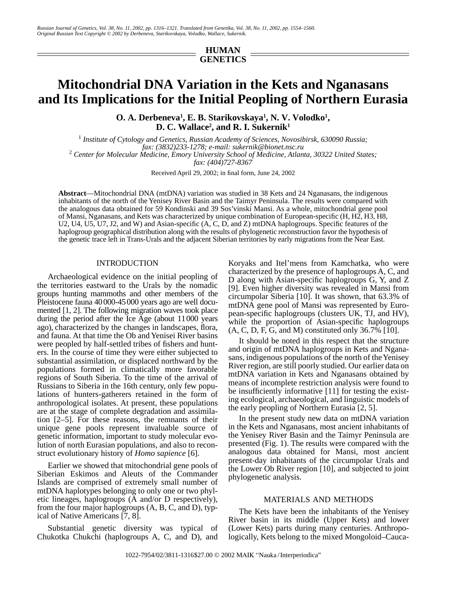# **HUMAN GENETICS**

# **Mitochondrial DNA Variation in the Kets and Nganasans and Its Implications for the Initial Peopling of Northern Eurasia**

**O. A. Derbeneva1 , E. B. Starikovskaya1 , N. V. Volodko1 , D. C. Wallace2 , and R. I. Sukernik1**

<sup>1</sup> Institute of Cytology and Genetics, Russian Academy of Sciences, Novosibirsk, 630090 Russia; *fax: (3832)233-1278; e-mail: sukernik@bionet.nsc.ru* <sup>2</sup>  *Center for Molecular Medicine, Emory University School of Medicine, Atlanta, 30322 United States;* 

*fax: (404)727-8367*

Received April 29, 2002; in final form, June 24, 2002

**Abstract**—Mitochondrial DNA (mtDNA) variation was studied in 38 Kets and 24 Nganasans, the indigenous inhabitants of the north of the Yenisey River Basin and the Taimyr Peninsula. The results were compared with the analogous data obtained for 59 Kondinski and 39 Sos'vinski Mansi. As a whole, mitochondrial gene pool of Mansi, Nganasans, and Kets was characterized by unique combination of European-specific (H, H2, H3, H8, U2, U4, U5, U7, J2, and W) and Asian-specific (A, C, D, and Z) mtDNA haplogroups. Specific features of the haplogroup geographical distribution along with the results of phylogenetic reconstruction favor the hypothesis of the genetic trace left in Trans-Urals and the adjacent Siberian territories by early migrations from the Near East.

#### INTRODUCTION

Archaeological evidence on the initial peopling of the territories eastward to the Urals by the nomadic groups hunting mammoths and other members of the Pleistocene fauna 40000-45000 years ago are well documented [1, 2]. The following migration waves took place during the period after the Ice Age (about 11000 years ago), characterized by the changes in landscapes, flora, and fauna. At that time the Ob and Yenisei River basins were peopled by half-settled tribes of fishers and hunters. In the course of time they were either subjected to substantial assimilation, or displaced northward by the populations formed in climatically more favorable regions of South Siberia. To the time of the arrival of Russians to Siberia in the 16th century, only few populations of hunters-gatherers retained in the form of anthropological isolates. At present, these populations are at the stage of complete degradation and assimilation [2–5]. For these reasons, the remnants of their unique gene pools represent invaluable source of genetic information, important to study molecular evolution of north Eurasian populations, and also to reconstruct evolutionary history of *Homo sapience* [6].

Earlier we showed that mitochondrial gene pools of Siberian Eskimos and Aleuts of the Commander Islands are comprised of extremely small number of mtDNA haplotypes belonging to only one or two phyletic lineages, haplogroups (A and/or D respectively), from the four major haplogroups (A, B, C, and D), typical of Native Americans [7, 8].

Substantial genetic diversity was typical of Chukotka Chukchi (haplogroups A, C, and D), and Koryaks and Itel'mens from Kamchatka, who were characterized by the presence of haplogroups A, C, and D along with Asian-specific haplogroups G, Y, and Z [9]. Even higher diversity was revealed in Mansi from circumpolar Siberia [10]. It was shown, that 63.3% of mtDNA gene pool of Mansi was represented by European-specific haplogroups (clusters UK, TJ, and HV), while the proportion of Asian-specific haplogroups (A, C, D, F, G, and M) constituted only 36.7% [10].

It should be noted in this respect that the structure and origin of mtDNA haplogroups in Kets and Nganasans, indigenous populations of the north of the Yenisey River region, are still poorly studied. Our earlier data on mtDNA variation in Kets and Nganasans obtained by means of incomplete restriction analysis were found to be insufficiently informative [11] for testing the existing ecological, archaeological, and linguistic models of the early peopling of Northern Eurasia [2, 5].

In the present study new data on mtDNA variation in the Kets and Nganasans, most ancient inhabitants of the Yenisey River Basin and the Taimyr Peninsula are presented (Fig. 1). The results were compared with the analogous data obtained for Mansi, most ancient present-day inhabitants of the circumpolar Urals and the Lower Ob River region [10], and subjected to joint phylogenetic analysis.

#### MATERIALS AND METHODS

The Kets have been the inhabitants of the Yenisey River basin in its middle (Upper Kets) and lower (Lower Kets) parts during many centuries. Anthropologically, Kets belong to the mixed Mongoloid–Cauca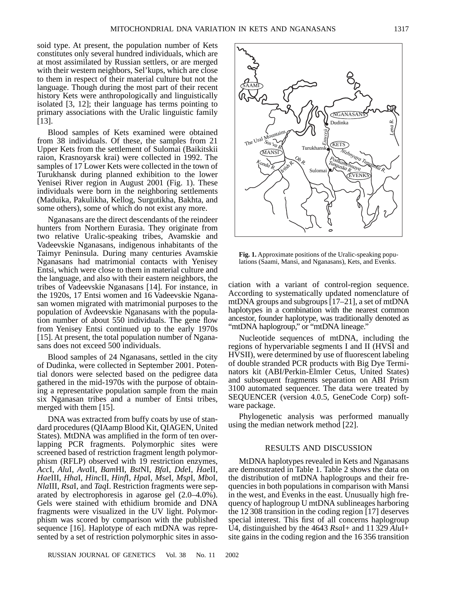soid type. At present, the population number of Kets constitutes only several hundred individuals, which are at most assimilated by Russian settlers, or are merged with their western neighbors, Sel'kups, which are close to them in respect of their material culture but not the language. Though during the most part of their recent history Kets were anthropologically and linguistically isolated [3, 12]; their language has terms pointing to primary associations with the Uralic linguistic family [13].

Blood samples of Kets examined were obtained from 38 individuals. Of these, the samples from 21 Upper Kets from the settlement of Sulomai (Baikitskii raion, Krasnoyarsk krai) were collected in 1992. The samples of 17 Lower Kets were collected in the town of Turukhansk during planned exhibition to the lower Yenisei River region in August 2001 (Fig. 1). These individuals were born in the neighboring settlements (Maduika, Pakulikha, Kellog, Surgutikha, Bakhta, and some others), some of which do not exist any more.

Nganasans are the direct descendants of the reindeer hunters from Northern Eurasia. They originate from two relative Uralic-speaking tribes, Avamskie and Vadeevskie Nganasans, indigenous inhabitants of the Taimyr Peninsula. During many centuries Avamskie Nganasans had matrimonial contacts with Yenisey Entsi, which were close to them in material culture and the language, and also with their eastern neighbors, the tribes of Vadeevskie Nganasans [14]. For instance, in the 1920s, 17 Entsi women and 16 Vadeevskie Nganasan women migrated with matrimonial purposes to the population of Avdeevskie Nganasans with the population number of about 550 individuals. The gene flow from Yenisey Entsi continued up to the early 1970s [15]. At present, the total population number of Nganasans does not exceed 500 individuals.

Blood samples of 24 Nganasans, settled in the city of Dudinka, were collected in September 2001. Potential donors were selected based on the pedigree data gathered in the mid-1970s with the purpose of obtaining a representative population sample from the main six Nganasan tribes and a number of Entsi tribes, merged with them [15].

DNA was extracted from buffy coats by use of standard procedures (QIAamp Blood Kit, QIAGEN, United States). MtDNA was amplified in the form of ten overlapping PCR fragments. Polymorphic sites were screened based of restriction fragment length polymorphism (RFLP) observed with 19 restriction enzymes, *Acc*I, *Alu*I, *Ava*II, *Bam*HI, *Bst*NI, *Bfa*I, *Dde*I, *Hae*II, *Hae*III, *Hha*I, *Hinc*II, *Hinf*I, *Hpa*I, *Mse*I, *Msp*I, *Mbo*I, *Nla*III, *Rsa*I, and *Taq*I. Restriction fragments were separated by electrophoresis in agarose gel (2.0–4.0%). Gels were stained with ethidium bromide and DNA fragments were visualized in the UV light. Polymorphism was scored by comparison with the published sequence [16]. Haplotype of each mtDNA was represented by a set of restriction polymorphic sites in asso**Fig. 1.** Approximate positions of the Uralic-speaking populations (Saami, Mansi, and Nganasans), Kets, and Evenks.

ciation with a variant of control-region sequence. According to systematically updated nomenclature of mtDNA groups and subgroups [17–21], a set of mtDNA haplotypes in a combination with the nearest common ancestor, founder haplotype, was traditionally denoted as "mtDNA haplogroup," or "mtDNA lineage."

Nucleotide sequences of mtDNA, including the regions of hypervariable segments I and II (HVSI and HVSII), were determined by use of fluorescent labeling of double stranded PCR products with Big Dye Terminators kit (ABI/Perkin-Elmler Cetus, United States) and subsequent fragments separation on ABI Prism 3100 automated sequencer. The data were treated by SEQUENCER (version 4.0.5, GeneCode Corp) software package.

Phylogenetic analysis was performed manually using the median network method [22].

#### RESULTS AND DISCUSSION

MtDNA haplotypes revealed in Kets and Nganasans are demonstrated in Table 1. Table 2 shows the data on the distribution of mtDNA haplogroups and their frequencies in both populations in comparison with Mansi in the west, and Evenks in the east. Unusually high frequency of haplogroup U mtDNA sublineages harboring the 12 308 transition in the coding region [17] deserves special interest. This first of all concerns haplogroup U4, distinguished by the 4643 *Rsa*I+ and 11 329 *Alu*I+ site gains in the coding region and the 16 356 transition

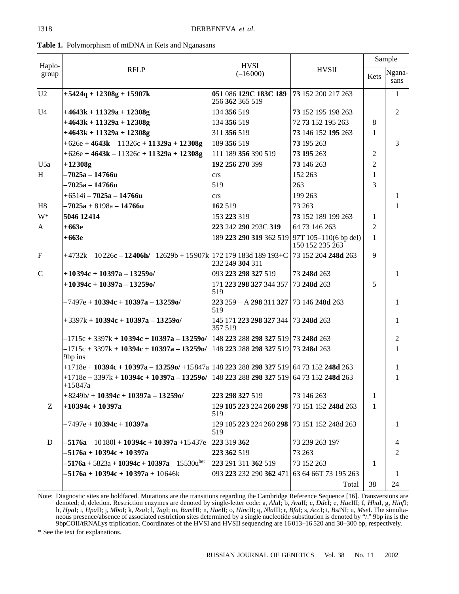|                 | <b>RFLP</b>                                                                                                                            | <b>HVSI</b>                                   |                      | Sample         |                |
|-----------------|----------------------------------------------------------------------------------------------------------------------------------------|-----------------------------------------------|----------------------|----------------|----------------|
| Haplo-<br>group |                                                                                                                                        | $(-16000)$                                    | <b>HVSII</b>         | Kets           | Ngana-<br>sans |
| U <sub>2</sub>  | $+5424q + 12308g + 15907k$                                                                                                             | 051 086 129C 183C 189<br>256 362 365 519      | 73 152 200 217 263   |                | 1              |
| U <sub>4</sub>  | $+4643k + 11329a + 12308g$                                                                                                             | 134 356 519                                   | 73 152 195 198 263   |                | $\overline{2}$ |
|                 | $+4643k + 11329a + 12308g$                                                                                                             | 134 356 519                                   | 72 73 152 195 263    | 8              |                |
|                 | $+4643k + 11329a + 12308g$                                                                                                             | 311 356 519                                   | 73 146 152 195 263   | 1              |                |
|                 | $+626e + 4643k - 11326c + 11329a + 12308g$                                                                                             | 189 356 519                                   | 73 195 263           |                | 3              |
|                 | $+626e + 4643k - 11326c + 11329a + 12308g$                                                                                             | 111 189 356 390 519                           | 73 195 263           | $\overline{2}$ |                |
| U <sub>5a</sub> | $+12308g$                                                                                                                              | 192 256 270 399                               | 73 146 263           | $\overline{2}$ |                |
| H               | -7025a – 14766u                                                                                                                        | crs                                           | 152 263              | 1              |                |
|                 | -7025a – 14766u                                                                                                                        | 519                                           | 263                  | 3              |                |
|                 | $+6514i - 7025a - 14766u$                                                                                                              | crs                                           | 199 263              |                | 1              |
| H <sub>8</sub>  | –7025a + 8198a – 14766u                                                                                                                | 162 519                                       | 73 263               |                | 1              |
| W*              | 5046 12414                                                                                                                             | 153 223 319                                   | 73 152 189 199 263   | 1              |                |
| A               | $+663e$                                                                                                                                | 223 242 290 293C 319                          | 64 73 146 263        | $\overline{2}$ |                |
|                 | $+663e$                                                                                                                                | 189 223 290 319 362 519 97T 105-110(6 bp del) | 150 152 235 263      | 1              |                |
| $\mathbf F$     | $+4732k - 10226c - 12406h$ / $-12629b + 15907k$   172 179 183d 189 193+C                                                               | 232 249 304 311                               | 73 152 204 248d 263  | 9              |                |
| $\mathsf{C}$    | $+10394c + 10397a - 13259o/$                                                                                                           | 093 223 298 327 519                           | 73 248d 263          |                | 1              |
|                 | $+10394c + 10397a - 13259o/$                                                                                                           | 171 223 298 327 344 357<br>519                | 73 248d 263          | 5              |                |
|                 | $-7497e + 10394c + 10397a - 13259o/$                                                                                                   | $223\,259 + A\,298\,311\,327$<br>519          | 73 146 248d 263      |                | 1              |
|                 | $+3397k + 10394c + 10397a - 13259o/$                                                                                                   | 145 171 223 298 327 344<br>357 519            | 73 248d 263          |                | 1              |
|                 | –1715c + 3397k + <b>10394c + 10397a – 13259</b> o/   148 <b>223</b> 288 <b>298 327</b> 519   73 <b>248d</b> 263                        |                                               |                      |                | 2              |
|                 | –1715c + 3397k + <b>10394c + 10397a – 13259</b> o/   148 <b>223</b> 288 <b>298 327</b> 519   73 <b>248d</b> 263<br>9bp ins             |                                               |                      |                | 1              |
|                 | $+1718e + 10394c + 10397a - 13259o/ + 15847a$ 148 223 288 298 327 519 64 73 152 248d 263                                               |                                               |                      |                | 1              |
|                 | $+1718$ e + 3397k + <b>10394c + 10397a – 13259</b> o/   148 <b>223</b> 288 <b>298 327</b> 519   64 73 152 <b>248d</b> 263<br>$+15847a$ |                                               |                      |                | 1              |
|                 | $+8249b/ + 10394c + 10397a - 13259o/$                                                                                                  | 223 298 327 519                               | 73 146 263           | 1              |                |
| Z               | $+10394c + 10397a$                                                                                                                     | 129 185 223 224 260 298<br>519                | 73 151 152 248d 263  | 1              |                |
|                 | –7497e + <b>10394c + 10397a</b>                                                                                                        | 129 185 223 224 260 298<br>519                | 73 151 152 248d 263  |                | 1              |
| $\mathbf D$     | $-5176a - 10180l + 10394c + 10397a + 15437e$                                                                                           | 223 319 362                                   | 73 239 263 197       |                | 4              |
|                 | -5176a + 10394c + 10397a                                                                                                               | 223 362 519                                   | 73 263               |                | 2              |
|                 | $-5176a + 5823a + 10394c + 10397a - 15530u^{\text{het}}$                                                                               | 223 291 311 362 519                           | 73 152 263           | 1              |                |
|                 | $-5176a + 10394c + 10397a + 10646k$                                                                                                    | 093 223 232 290 362 471                       | 63 64 66T 73 195 263 |                | 1              |
|                 |                                                                                                                                        |                                               | Total                | 38             | 24             |

Table 1. Polymorphism of mtDNA in Kets and Nganasans

Note: Diagnostic sites are boldfaced. Mutations are the transitions regarding the Cambridge Reference Sequence [16]. Transversions are denoted; d, deletion. Restriction enzymes are denoted by single-letter code: a, Alul; b, Avall; c, Ddel; e, Haelll; f, Hhal, g, Hinfl;<br>h, Hpal; i, Hpall; j, Mbol; k, Rsal; l, Tagl; m, BamHl; n, Haell; o, Hincll; q, Nlalll; neous presence/absence of associated restriction sites determined by a single nucleotide substitution is denoted by "/." 9bp ins is the 9bpCOII/tRNALys triplication. Coordinates of the HVSI and HVSII sequencing are 16013–1

\* See the text for explanations.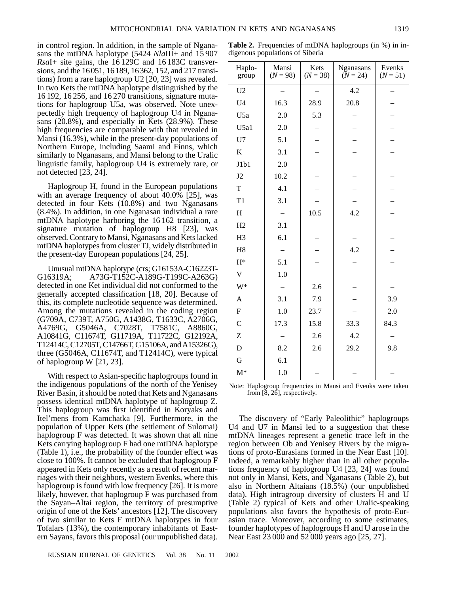in control region. In addition, in the sample of Nganasans the mtDNA haplotype (5424 *Nla*III+ and 15 907 *Rsa*I+ site gains, the 16 129C and 16 183C transversions, and the 16051, 16189, 16362, 152, and 217 transitions) from a rare haplogroup U2 [20, 23] was revealed. In two Kets the mtDNA haplotype distinguished by the 16 192, 16 256, and 16 270 transitions, signature mutations for haplogroup U5a, was observed. Note unexpectedly high frequency of haplogroup U4 in Nganasans (20.8%), and especially in Kets (28.9%). These high frequencies are comparable with that revealed in Mansi (16.3%), while in the present-day populations of Northern Europe, including Saami and Finns, which similarly to Nganasans, and Mansi belong to the Uralic linguistic family, haplogroup U4 is extremely rare, or not detected [23, 24].

Haplogroup H, found in the European populations with an average frequency of about 40.0% [25], was detected in four Kets (10.8%) and two Nganasans (8.4%). In addition, in one Nganasan individual a rare mtDNA haplotype harboring the 16 162 transition, a signature mutation of haplogroup H8 [23], was observed. Contrary to Mansi, Nganasans and Kets lacked mtDNA haplotypes from cluster TJ, widely distributed in the present-day European populations [24, 25].

Unusual mtDNA haplotype (crs; G16153A-C16223T-G16319A; A73G-T152C-A189G-T199C-A263G) detected in one Ket individual did not conformed to the generally accepted classification [18, 20]. Because of this, its complete nucleotide sequence was determined. Among the mutations revealed in the coding region (G709A, C739T, A750G, A1438G, T1633C, A2706G, A4769G, G5046A, C7028T, T7581C, A8860G, A10841G, C11674T, G11719A, T11722C, G12192A, T12414C, C12705T, C14766T, G15106A, and A15326G), three (G5046A, C11674T, and T12414C), were typical of haplogroup W [21, 23].

With respect to Asian-specific haplogroups found in the indigenous populations of the north of the Yenisey River Basin, it should be noted that Kets and Nganasans possess identical mtDNA haplotype of haplogroup Z. This haplogroup was first identified in Koryaks and Itel'mens from Kamchatka [9]. Furthermore, in the population of Upper Kets (the settlement of Sulomai) haplogroup F was detected. It was shown that all nine Kets carrying haplogroup F had one mtDNA haplotype (Table 1), i.e., the probability of the founder effect was close to 100%. It cannot be excluded that haplogroup F appeared in Kets only recently as a result of recent marriages with their neighbors, western Evenks, where this haplogroup is found with low frequency [26]. It is more likely, however, that haplogroup F was purchased from the Sayan–Altai region, the territory of presumptive origin of one of the Kets' ancestors [12]. The discovery of two similar to Kets F mtDNA haplotypes in four Tofalars (13%), the contemporary inhabitants of Eastern Sayans, favors this proposal (our unpublished data). **Table 2.** Frequencies of mtDNA haplogroups (in %) in indigenous populations of Siberia

| Haplo-<br>group         | Mansi<br>$(N = 98)$ | Kets<br>$(N = 38)$ | Nganasans<br>$(N = 24)$ | Evenks<br>$(N = 51)$ |
|-------------------------|---------------------|--------------------|-------------------------|----------------------|
| U <sub>2</sub>          |                     |                    | 4.2                     |                      |
| U <sub>4</sub>          | 16.3                | 28.9               | 20.8                    |                      |
| U <sub>5a</sub>         | 2.0                 | 5.3                |                         |                      |
| U5a1                    | 2.0                 |                    |                         |                      |
| U7                      | 5.1                 |                    |                         |                      |
| $\rm K$                 | 3.1                 |                    |                         |                      |
| J1b1                    | 2.0                 |                    |                         |                      |
| J2                      | 10.2                |                    |                         |                      |
| $\rm T$                 | 4.1                 |                    |                         |                      |
| T1                      | 3.1                 |                    |                         |                      |
| H                       |                     | 10.5               | 4.2                     |                      |
| H2                      | 3.1                 |                    |                         |                      |
| H <sub>3</sub>          | 6.1                 |                    |                         |                      |
| H8                      |                     |                    | 4.2                     |                      |
| $H^*$                   | 5.1                 |                    |                         |                      |
| $\overline{\mathbf{V}}$ | 1.0                 |                    |                         |                      |
| W*                      |                     | 2.6                |                         |                      |
| $\overline{A}$          | 3.1                 | 7.9                |                         | 3.9                  |
| $\mathbf F$             | 1.0                 | 23.7               |                         | 2.0                  |
| $\overline{C}$          | 17.3                | 15.8               | 33.3                    | 84.3                 |
| Z                       |                     | 2.6                | 4.2                     |                      |
| D                       | 8.2                 | 2.6                | 29.2                    | 9.8                  |
| G                       | 6.1                 |                    |                         |                      |
| $M^*$                   | 1.0                 |                    |                         |                      |

Note: Haplogroup frequencies in Mansi and Evenks were taken from [8, 26], respectively.

The discovery of "Early Paleolithic" haplogroups U4 and U7 in Mansi led to a suggestion that these mtDNA lineages represent a genetic trace left in the region between Ob and Yenisey Rivers by the migrations of proto-Eurasians formed in the Near East [10]. Indeed, a remarkably higher than in all other populations frequency of haplogroup U4 [23, 24] was found not only in Mansi, Kets, and Nganasans (Table 2), but also in Northern Altaians (18.5%) (our unpublished data). High intragroup diversity of clusters H and U (Table 2) typical of Kets and other Uralic-speaking populations also favors the hypothesis of proto-Eurasian trace. Moreover, according to some estimates, founder haplotypes of haplogroups H and U arose in the Near East 23 000 and 52 000 years ago [25, 27].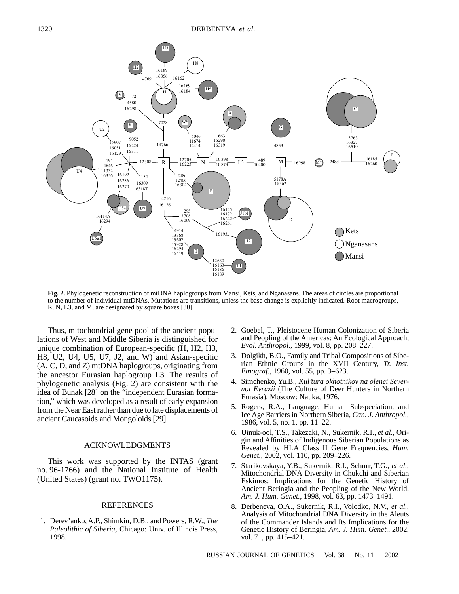

**Fig. 2.** Phylogenetic reconstruction of mtDNA haplogroups from Mansi, Kets, and Nganasans. The areas of circles are proportional to the number of individual mtDNAs. Mutations are transitions, unless the base change is explicitly indicated. Root macrogroups, R, N, L3, and M, are designated by square boxes [30].

Thus, mitochondrial gene pool of the ancient populations of West and Middle Siberia is distinguished for unique combination of European-specific (H, H2, H3, H8, U2, U4, U5, U7, J2, and W) and Asian-specific (A, C, D, and Z) mtDNA haplogroups, originating from the ancestor Eurasian haplogroup L3. The results of phylogenetic analysis (Fig. 2) are consistent with the idea of Bunak [28] on the "independent Eurasian formation," which was developed as a result of early expansion from the Near East rather than due to late displacements of ancient Caucasoids and Mongoloids [29].

### ACKNOWLEDGMENTS

This work was supported by the INTAS (grant no. 96-1766) and the National Institute of Health (United States) (grant no. TWO1175).

## REFERENCES

1. Derev'anko, A.P., Shimkin, D.B., and Powers, R.W., *The Paleolithic of Siberia*, Chicago: Univ. of Illinois Press, 1998.

- 2. Goebel, T., Pleistocene Human Colonization of Siberia and Peopling of the Americas: An Ecological Approach, *Evol. Anthropol.*, 1999, vol. 8, pp. 208–227.
- 3. Dolgikh, B.O., Family and Tribal Compositions of Siberian Ethnic Groups in the XVII Century, *Tr. Inst. Etnograf.*, 1960, vol. 55, pp. 3–623.
- 4. Simchenko, Yu.B., *Kul'tura okhotnikov na olenei Severnoi Evrazii* (The Culture of Deer Hunters in Northern Eurasia), Moscow: Nauka, 1976.
- 5. Rogers, R.A., Language, Human Subspeciation, and Ice Age Barriers in Northern Siberia, *Can. J. Anthropol.,* 1986, vol. 5, no. 1, pp. 11–22.
- 6. Uinuk-ool, T.S., Takezaki, N., Sukernik, R.I., *et al.*, Origin and Affinities of Indigenous Siberian Populations as Revealed by HLA Class II Gene Frequencies, *Hum. Genet.,* 2002, vol. 110, pp. 209–226.
- 7. Starikovskaya, Y.B., Sukernik, R.I., Schurr, T.G., *et al.*, Mitochondrial DNA Diversity in Chukchi and Siberian Eskimos: Implications for the Genetic History of Ancient Beringia and the Peopling of the New World, *Am. J. Hum. Genet.*, 1998, vol. 63, pp. 1473–1491.
- 8. Derbeneva, O.A., Sukernik, R.I., Volodko, N.V., *et al.*, Analysis of Mitochondrial DNA Diversity in the Aleuts of the Commander Islands and Its Implications for the Genetic History of Beringia, *Am. J. Hum. Genet.*, 2002, vol. 71, pp. 415–421.